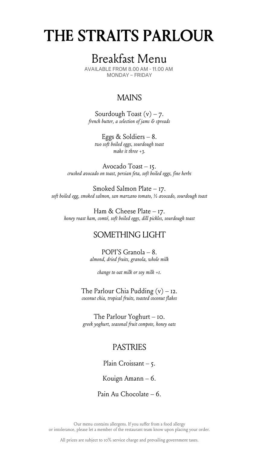# THE STRAITS PARLOUR

## Breakfast Menu

AVAILABLE FROM 8.00 AM - 11.00 AM MONDAY – FRIDAY

### MAINS

Sourdough Toast  $(v) - 7$ . *french butter, a selection of jams & spreads*

Eggs & Soldiers – 8. *two soft boiled eggs, sourdough toast make it three +3.*

Avocado Toast – 15. *crushed avocado on toast, persian feta, soft boiled eggs, fine herbs*

Smoked Salmon Plate – 17. *soft boiled egg, smoked salmon, san marzano tomato, ½ avocado, sourdough toast*

Ham & Cheese Plate – 17. *honey roast ham, comté, soft boiled eggs, dill pickles, sourdough toast*

### SOMETHING LIGHT

POPI'S Granola – 8. *almond, dried fruits, granola, whole milk*

*change to oat milk or soy milk +1.*

The Parlour Chia Pudding  $(v) - I2$ . *coconut chia, tropical fruits, toasted coconut flakes*

The Parlour Yoghurt – 10. *greek yoghurt, seasonal fruit compote, honey oats*

#### PASTRIES

Plain Croissant – 5.

Kouign Amann – 6.

Pain Au Chocolate – 6.